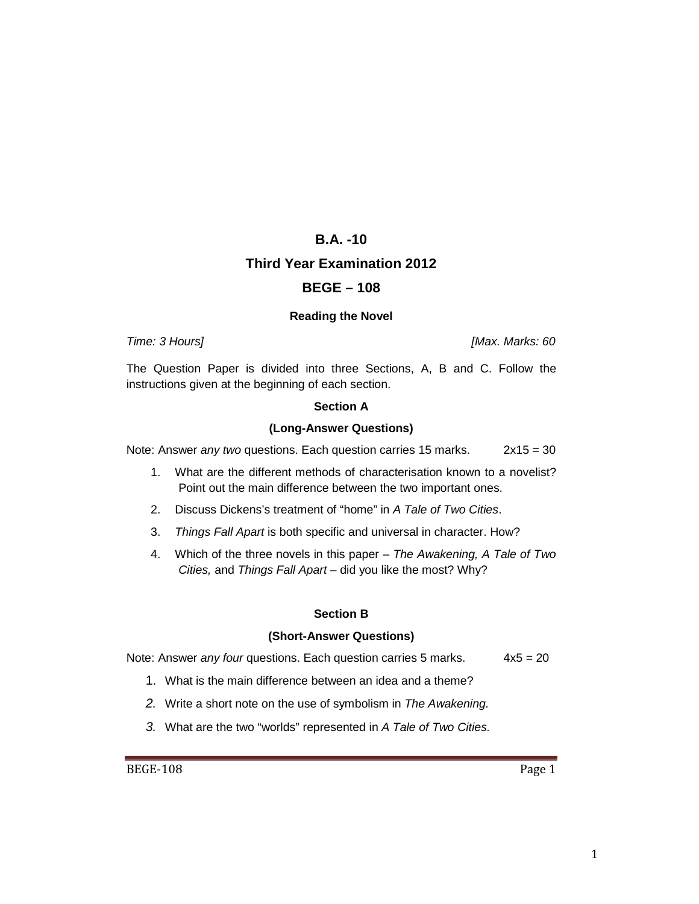# **B.A. -10**

## **Third Year Examination 2012**

## **BEGE – 108**

### **Reading the Novel**

Time: 3 Hours] [Max. Marks: 60

The Question Paper is divided into three Sections, A, B and C. Follow the instructions given at the beginning of each section.

#### **Section A**

### **(Long-Answer Questions)**

Note: Answer *any two* questions. Each question carries 15 marks.  $2x15 = 30$ 

- 1. What are the different methods of characterisation known to a novelist? Point out the main difference between the two important ones.
- 2. Discuss Dickens's treatment of "home" in A Tale of Two Cities.
- 3. Things Fall Apart is both specific and universal in character. How?
- 4. Which of the three novels in this paper The Awakening, A Tale of Two Cities, and Things Fall Apart – did you like the most? Why?

### **Section B**

#### **(Short-Answer Questions)**

Note: Answer any four questions. Each question carries 5 marks.  $4x5 = 20$ 

- 1. What is the main difference between an idea and a theme?
- 2. Write a short note on the use of symbolism in The Awakening.
- 3. What are the two "worlds" represented in A Tale of Two Cities.

BEGE-108 Page 1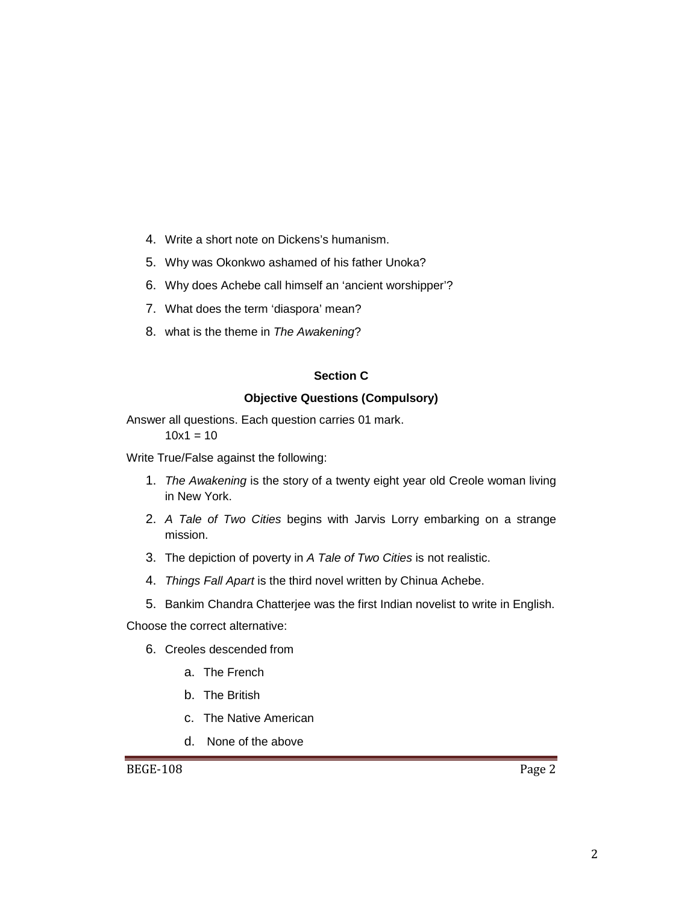- 4. Write a short note on Dickens's humanism.
- 5. Why was Okonkwo ashamed of his father Unoka?
- 6. Why does Achebe call himself an 'ancient worshipper'?
- 7. What does the term 'diaspora' mean?
- 8. what is the theme in The Awakening?

### **Section C**

# **Objective Questions (Compulsory)**

Answer all questions. Each question carries 01 mark.

 $10x1 = 10$ 

Write True/False against the following:

- 1. The Awakening is the story of a twenty eight year old Creole woman living in New York.
- 2. A Tale of Two Cities begins with Jarvis Lorry embarking on a strange mission.
- 3. The depiction of poverty in A Tale of Two Cities is not realistic.
- 4. Things Fall Apart is the third novel written by Chinua Achebe.
- 5. Bankim Chandra Chatterjee was the first Indian novelist to write in English.

Choose the correct alternative:

- 6. Creoles descended from
	- a. The French
	- b. The British
	- c. The Native American
	- d. None of the above

BEGE-108 Page 2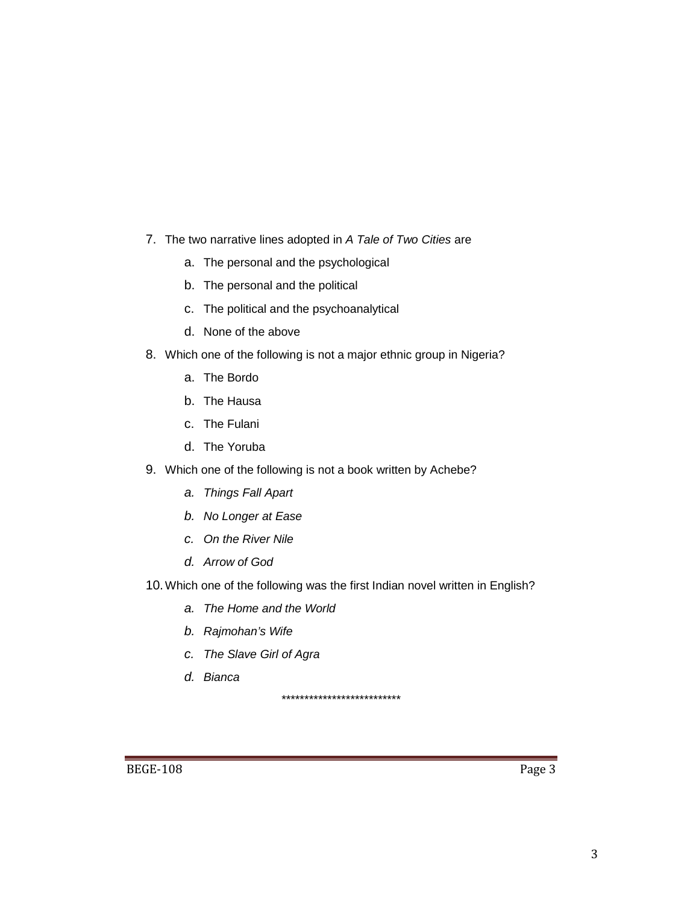- 7. The two narrative lines adopted in A Tale of Two Cities are
	- a. The personal and the psychological
	- b. The personal and the political
	- c. The political and the psychoanalytical
	- d. None of the above
- 8. Which one of the following is not a major ethnic group in Nigeria?
	- a. The Bordo
	- b. The Hausa
	- c. The Fulani
	- d. The Yoruba
- 9. Which one of the following is not a book written by Achebe?
	- a. Things Fall Apart
	- b. No Longer at Ease
	- c. On the River Nile
	- d. Arrow of God
- 10. Which one of the following was the first Indian novel written in English?
	- a. The Home and the World
	- b. Rajmohan's Wife
	- c. The Slave Girl of Agra
	- d. Bianca

\*\*\*\*\*\*\*\*\*\*\*\*\*\*\*\*\*\*\*\*\*\*\*\*\*\*

**BEGE-108** 

Page 3